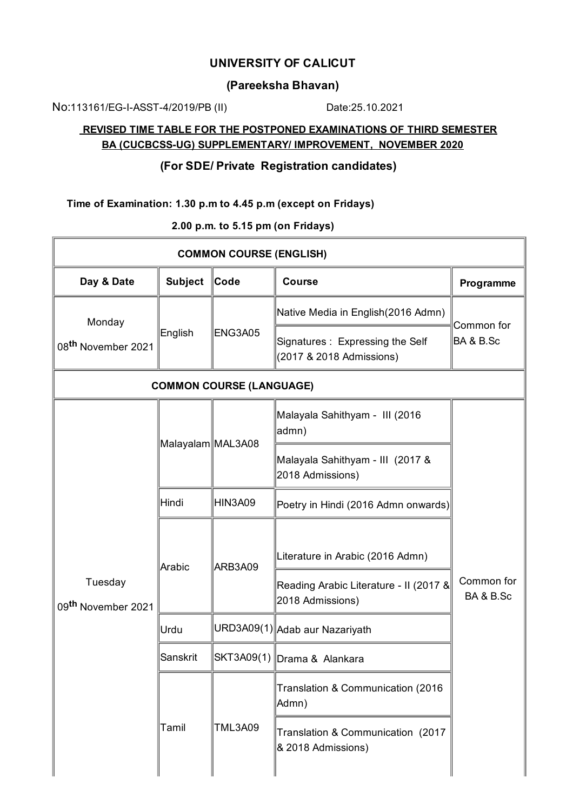# **UNIVERSITY OF CALICUT**

#### **(Pareeksha Bhavan)**

No:113161/EG-I-ASST-4/2019/PB (II) Date:25.10.2021

# **REVISED TIME TABLE FOR THE POSTPONED EXAMINATIONS OF THIRD SEMESTER BA (CUCBCSS-UG) SUPPLEMENTARY/ IMPROVEMENT, NOVEMBER 2020**

# **(For SDE/ Private Registration candidates)**

**Time of Examination: 1.30 p.m to 4.45 p.m (except on Fridays)**

**COMMON COURSE (ENGLISH) Day** & Date **Subject**  $\|$  Code  $\|$  Course **Programme** Monday 08 **th** November 2021 English **ENG3A05** Native Media in English(2016 Admn) Common for Signatures : Expressing the Self  $\parallel$ BA & B.Sc (2017 & 2018 Admissions) **COMMON COURSE (LANGUAGE)** Tuesday 09 **th** November 2021  $\vert$ Malayalam $\vert$ MAL3A08 Malayala Sahithyam - III (2016 admn) Common for BA & B.Sc Malayala Sahithyam - III (2017 & 2018 Admissions)  $\Vert$ Hindi  $\Vert$ HIN3A09  $\Vert$ Poetry in Hindi (2016 Admn onwards) Arabic **ARB3A09** Literature in Arabic (2016 Admn) Reading Arabic Literature - II (2017 & 2018 Admissions) Urdu **WRD3A09(1)**Adab aur Nazariyath Sanskrit ||SKT3A09(1) Drama & Alankara Tamil TML3A09 Translation & Communication (2016 Admn) Translation & Communication (2017 & 2018 Admissions)

**2.00 p.m. to 5.15 pm (on Fridays)**